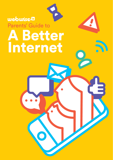# **webwiseda** Parents' Guide to A Better Internet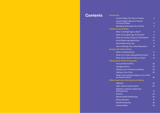# **Contents Introduction**

| htroduction |  |  |
|-------------|--|--|
|             |  |  |

**Child** 

**Deal** 

**Talki** 

| <b>Internet Safety Top Tips for Parents</b>                       | 3                |
|-------------------------------------------------------------------|------------------|
| <b>Internet Safety Advice for Parents</b>                         |                  |
| of Young Children                                                 | 6                |
| Managing Technology Use at Home                                   | 8                |
| <b>Children &amp; Social Media</b>                                |                  |
| What is the Right Age to Start?                                   | 9                |
| What is the Digital Age of Consent?                               | 9                |
| What are the Key Things to Think About?                           | 10 <sup>10</sup> |
| <b>Social Media Age Restrictions</b>                              | 10 <sup>10</sup> |
| <b>Social Networking Tips</b>                                     | 11               |
| How to Manage Your Online Reputation                              | 13               |
| <b>Dealing with Cyberbullying</b>                                 |                  |
| What is Cyberbullying?                                            | 15               |
| What if my Child is Being Bullied Online?                         | 16               |
| What Advice Should I Give my Child?                               | 18               |
| <b>Talking about Online Pornography</b>                           |                  |
| Young Children & Porn                                             | 22               |
| <b>Teenagers &amp; Porn</b>                                       | 22               |
| Talking to your Child about Sexting                               |                  |
| <b>Talking to Your Child</b>                                      |                  |
| What to do if Intimate Images of your Child<br>are Shared Online? | 26               |
| Where to get more Information and Advice                          |                  |
| Webwise                                                           | 29               |
| Safer internet Ireland Centre                                     | 30               |
| Helplines: Listening, Supporting<br>& Empowering                  | 31               |
| General                                                           | 34               |
| Mental Health & Well-being                                        | 35               |
| <b>Eating Disorders</b>                                           | 37               |
| <b>Gender &amp; Sexuality</b>                                     | 38               |
| <b>Internet Safety</b>                                            | 39               |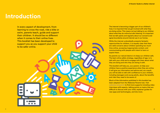# **Introduction**

In every aspect of development, from learning to cross the road, ride a bike or swim, parents teach, guide and support their children. It should be no different when it comes to their online lives. This booklet has been developed to support you as you support your child to be safer online.

The internet is becoming a bigger part of our children's lives; it is important that we get involved with what they are doing online. This means not just talking to our children about what they do online but also listening. It is important that we talk openly and regularly about our concerns and agree boundaries around internet use in our homes.

While the internet undoubtedly presents fantastic opportunities for children, it is equally clear that there are valid concerns about children spending too much time online, accessing inappropriate content, and communicating with people with intent to harm or exploit them.

As parents our natural desire is to keep our children safe. The best online safety strategy, regardless of age, is to talk with your child and to engage with them about what they are doing and who they are doing it with.

This booklet will help you, as a parent, to help your children have a positive experience when they are online. It will give you information and advice and, as a result, you will be able to talk with confidence to your children, including teenagers and young adults, about the benefits and risks they need to be aware of.

Much of the information published in this booklet has been adapted from the Webwise Parents hub. Visit webwise.ie/parents to find more supports including video interviews with experts, talking points on topics that are difficult to discuss with your child, explainer guides for new apps and technologies, and lots more.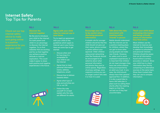# **Internet Safety**  Top Tips for Parents

# Check out our top internet safety advice to make sure going online is a positive

### **Discover the internet together**

Be the one to introduce your child to the internet. For both parent and child it is an advantage to discover the internet together. Try to find websites that are exciting and fun so that together you achieve a positive attitude to internet exploration. This could make it easier to share both positive and negative experiences in the future.



#### **Agree with your child rules for internet use in your home**

Try to reach an agreement with your child on the guidelines which apply to internet use in your home. Here are some tips to get started:

- Discuss when and for how long it is acceptable for your child to use the internet
- Agree how to treat personal information (name, address, telephone, email)
- Discuss how to behave towards others
- Agree what type of sites and activities are OK or not OK
- Follow the rules yourself! Or at least explain why the rules are different for adults.

#### **Encourage your child to be careful when disclosing personal information**

A simple rule for younger children should be that the child should not give out their name, phone number or photo without your approval. Older children using social networking sites like Facebook should be encouraged to be selective about what personal information and photos they post to online spaces. Regardless of privacy settings, once material is online you can no longer control who sees it or how it is used.

## **Talk about the risks associated with**  N<u>o</u>.1 No.2 No.2 No.3 No.3 No.4 No.5 No.5 No.5 No.4 No.5

# **meeting online**

Adults should understand that the internet can be a positive meeting place for children, where they can get to know other young people and make new friends. However, for safety and to avoid unpleasant experiences, it is important that children do not meet strangers they have met online without being accompanied by an adult you trust. In any case, the child should always have their parents' approval first. In addition, it is also a good idea to have a fail-safe plan in place such as calling them shortly after the meeting begins so that they can bail out if they feel

uncomfortable.

**Teach your child about evaluating information they find online.** 

Most children use the internet to improve and develop their knowledge in relation to schoolwork and personal interests. Children should be aware that not all information found online is correct, accurate or relevant. Show your child how to check information they find by comparing it to alternative sources on the same topic. Show them trusted sites they can use to compare information.



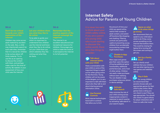## **Don't be too critical exploration of the internet**

Children may come across adult material by accident on the web. Also, a child may intentionally search for such web sites; remember that it is natural for children to be curious about offlimits material. Try to use this as an opening to discuss the content with them, and perhaps make rules for this kind of activity. Be realistic in your assessment of how your child uses the internet.

#### N<u>o</u>.6 No.7 No.7 No.8

## **Let your children show you what they like to**

To be able to guide your child it is important to understand how children use the internet and know what they like to do online. Let your child show you which websites they like visiting and what they do there.

#### **Remember that the positive aspects of the internet outweigh the negatives.**

The internet is an

excellent educational and recreational resource for children. Encourage your child to make the most of it and explore the internet to its full potential.



# **Internet Safety**  Advice for Parents of Young Children

the amount of time your

**Talk about internet Safety** 

Have a conversation with your child on some of the important things to watch out for when going online for the first time. Young children will not be aware of the dangers, so it is very important to talk with them about who they talk to and about sharing personal information online.

**Use Parental Controls** Most internet technologies have built-in controls that allow you to limit

**with your Child**

**Goo** 

∩

child can spend online, restrict their access to adult content, and switch off functions like shopping and chatting. Filtering controls are particularly useful at preventing young children from accidentally encountering content that might bother them.

#### **Disable In-App Purchases**

Many apps and games give their users the option of buying additional game functionality, additional points/bonuses, and a host of other extras. Children can easily make purchases without even realising. You can disable in-app purchases using your phone or device settings.

#### **Activate Safe Search**

Help minimise the risk of your child coming across inappropriate content in response to search queries by activating 'safe search' in your search engine.

#### **Agree on what AS to do when things go wrong**

We recommend that you speak to your child about what to do if they come across something on the internet that bothers them. This could be closing the laptop lid or turning off the screen and coming to get you.

#### **Set Up a Family Email**

Set up a family email address that your children can use when signing up to new games and websites online.

## **Play it Safe**

 For young children we recommend that parents choose safe and appropriate games for their child to play online. Most games have a rating you can check to see if they are age appropriate. You should also check if a game allows for player interaction and if there is a safe chat mode.

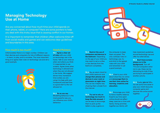#### **A Parents' Guide to a Better Internet**

# **Managing Technology Use at Home**

Are you concerned about how much time your child spends on their phone, tablet, or computer? Here are some pointers to help you deal with this tricky issue that is causing conflict in our homes.

It is important to remember that children often welcome time-off from social media and games and can welcome clear guidelines and boundaries in this area.

#### **How much is too much?**

Unfortunately there is no magic number. Children use their devices and computers for lots of different reasons – to learn, to play, and to socialise. The most important thing is to agree clear rules on technology use and set a good example.



### **Helpful Pointers:**

**No.1 Agree a clear set** of rules with your child on technology use in the home. Talk to your child on when and where you think it is appropriate to use screens. Agree times when technology is allowed and when they are not allowed in the home. We suggest dinner time, homework time (unless you are using it to help with your homework) and bed time is a good start to the notallowed list.

No.2 Do as you say. Modelling behaviour is the most powerful way you can influence your child's behaviour.

No.3 Restrict the use of computers and devices in the bedroom. Depending on the age of your child you may want to set a curfew or ban devices from the bedroom completely.

No.4 Buy an alarm clock for your child's bedroom and charge their phones and devices in your room or downstairs at night time. This can be a helpful way of giving them a break from the internet.

No.5 Try not to rely on technology too much to keep the kids amused. It can be easy to encourage them to pick up the tablet or play a game on

the computer to keep them occupied. This only confuses rules on technology use, try and stick to the agreed rules with your child and remember to set a good example.

No.6 Chat to your child about what they do online and encourage them to use their time online for learning, creativity and education.

No.7 Encourage your child to have a healthy balance. Experts say time spent online should not affect sleep, exercise or time with family. Doing activities together as a family will

help implement guidelines around technology use and offer fun alternatives.

#### No.8 Don't have screens always on in the background. Turn off TVs and computers when not in use, these can be distracting for kids if they are trying to participate in another activity.

No.9 Finally, join in! Why not set some time aside to play your child's favourite computer game and discover the online world together.

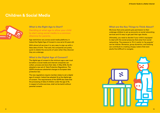## **Children & Social Media**



#### **What is the Right Age to Start?**

Deciding at what age to allow your child to start using social media is a common dilemma for parents.

Age restrictions vary across social media platforms; in Ireland the Digital Age of Consent is now set at 16 years old.

With almost all services it is very easy to sign-up with a false date of birth. That said, the companies are pretty quick to delete the accounts of users when they discover they are underage.

#### **What is the Digital Age of Consent?**

The digital age of consent is the minimum age a user must be before a social media and internet companies can collect, process and store their data. In May 2018, the EU adopted a new set of Data Protection Regulations. The GDPR introduces substantial changes to European data protection law.

The new regulations require member states to set a digital age of consent. Ireland has adopted 16 as the digital age of consent. The requirements of the GDPR also state that the processing of data of children under the age of 16, in respect of online services, shall not be lawful without parental consent.

#### **What are the Key Things to Think About?**

We know that some parents give permission to their underage-children to set up accounts on social networking services and it's easy to get past their age checks.

Ultimately, you need to decide if your child is equipped to deal with the social pressures that arise from social networking. The pressure to 'fit in' and/or to 'be popular' can be intense. Romance, group dynamics, and bullying can contribute to creating choppy waters that even adults find difficult to navigate.

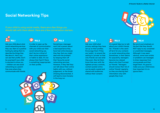# **Social Networking Tips**

If your child is using social media, there are a few things you should talk with them about. Here are a few conversation starters:



# No.2

Ask your child about what social networking services they use. Start on a positive footing by asking them to describe the things they like about it. Ask if you can see their profile. Don't be surprised if your child is reluctant to show you – children can see social networking as a parentfree zone where they communicate with friends.

with your child over their social networking use, don't be too critical of their online experience or habits to date. It's not always their fault if there



In order to open up the channels of communication is something inappropriate on their profile.



Sometimes a teenager won't tell a parent about a bad experience they have had online because they fear that you might deal with the problem by keeping them off their favourite social networking services. However, if they feel they can talk about their online habits with you, without judgement, or the threat of being disconnected, it will lead to more honesty in the long run.



Ask your child what privacy settings they have set up on their profiles. Encourage them if they are 'public', to amend the setting to 'private' so that only friends can see what they post. Also let them know that even with the tightest privacy controls, content posted online can be easily copied and shared with audiences without their consent.



It's a good idea too to talk about your child's friends list. 'Friends' is the catch all term for any contacts on social networking sites. Sometimes, in their desire for popularity, teenagers become too relaxed about who they'll accept as 'friends'. Teenagers should review their list of online 'friends' regularly, so they are sharing their information only with people they trust.



Be sure to put emphasis on the fact that they should NOT reply to any unwanted or unsolicited messages. Although it may seem obvious, some scam artists or predators use messages to draw responses from young people and then target them. It's good to make sure your child knows how important it is to ignore them.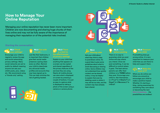# **How to Manage Your Online Reputation**

Managing your online reputation has never been more important. Children are now documenting and sharing huge chunks of their lives online and may not be fully aware of the importance of managing their reputation or of the potential risks involved.

### **Starting the conversation..**

#### No.1 **Check your settings!**

Encourage your child to regularly review the app and social networking privacy settings. Many social networks are set to public by default meaning anyone can see your child's posts, pics, videos etc. We recommend using a 'friends-only' setting.

#### No.2 **Out with** U **the old…**

Just like their bedrooms, it is important that children give their social media presence a spring clean every so often. Remind your child to deactivate any old social media profiles and accounts they may have signed up to. This can help minimise the risk of getting hacked.

#### **No.3 There is a limit to the effectiveness of privacy settings**

Explain to your child that anything that appears on a screen can be copied and shared regardless of the privacy features of the services they are using. Nearly all mobile phones can save what is displayed on screen by pressing a couple of buttons. It is just as easy to capture what is displayed by taking a photo of the screen using a camera or camera phone.



#### No.4 **Sharing rules**

Ask your child about what they think is okay to post/share online. It's a good idea to give some guidelines about what to avoid discussing or sharing online. Some children may not understand how quickly content can be shared online, it may be helpful to explain that even by deleting a post or photo it may still be too late, and the content may have already been shared.

#### No.5 **Think before posting**

There is no way to guarantee what you post online will stay where you intend. Once we post something, it can be difficult to control where it goes. The best advice parents can offer their children is to **THINK** before they post. Encourage your child to: Ask themselves… is it **T**rue? Is it **H**elpful? Is it **I**llegal? Is it **N**ecessary? Is it **K**ind?

# No.6 **Reassure**

If something does go wrong online, it is very important to reassure your child that you are there to help and support them.

#### **Reading 1 Section 12 Make the most of IT**

What you do online can follow you around so encourage your child to make a positive impact. Whether it's starting a blog, raising awareness for something they care about or becoming the next Mark Zuckerberg… the possibilities are endless!

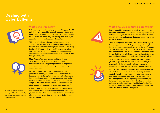# **Dealing with Cyberbullying**



#### **What is Cyberbullying?**

appearance etc.

Cyberbullying or online bullying is something you should talk about with your child before it happens. Opportune times might be: when your child starts using social media for the first time, when they are moving from primary to secondary school, and regularly thereafter.

This type of bullying is increasingly common and is continuously evolving. It is bullying carried out through the use of internet and mobile phone technologies. Being the target of inappropriate or hurtful messages is the most common form of online bullying. Cyberbullying does not require face to face contact, it can occur at any time (day or night).

Many forms of bullying can be facilitated through cyberbullying. For example, a child may be sent homophobic text messages or pictures may be posted with negative comments about a person's sexuality,



Be clear on what constitutes online bullying. The procedures recently published by the Department of Education and Skills say "placing a once-off offensive or hurtful public message, image or statement on a social network site or other public forum where that message, image or statement can be viewed and/or repeated by other people will be regarded as bullying behaviour"1.

1. *Anti-Bullying Procedures for Primary and Post-Primary Schools*, Department of Education and Skills, September 2013.

Cyberbullying can happen to anyone. It's always wrong and it should never be overlooked or ignored. You know your child better than anyone else. It means you are best placed to identify and deal with any cyberbullying they may encounter.





#### **What if my Child is Being Bullied Online?**

Praise your child for coming to speak to you about the problem. Sometimes that first step of asking for help is a difficult one. Try to stay calm and not overreact. Reassure your child by reminding them that many people have had similar experiences.

The first thing to do is to listen. Listen supportively, try not to interrogate your child. If they come to you looking for help, they have demonstrated trust in you. Be careful not to damage that by losing your cool or taking action that they are uncomfortable with. At the same time you should make it clear that in order to help them you may have to talk with their teachers and the parents of other children involved.

Once you have established that bullying is taking place, you should get in touch with your child's school or youth organisation. If the cyberbullying is very serious, or potentially criminal, you could contact your local Gardaí.

Schools have a particular responsibility to address bullying. Talk with your child's teacher if the bullying is school related. A pupil or parent may bring a bullying concern to any teacher in the school. Individual teachers must take appropriate measures regarding reports of bullying behaviour in accordance with the school's anti-bullying policy. All schools must have an 'Anti-Bullying' policy. You should familiarise yourself with your school's policy, so you know the steps to be taken if required.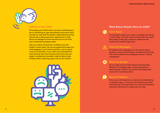

#### **Talking to Your Child**

Encouraging your child to talk to you about cyberbullying is key to maintaining an open and positive environment which can help you deal with the situation. Responding by barring internet use or taking away their mobile phone or other device can damage trust and may also put you out of the loop if cyberbullying happens again.

Help your child to build his/her confidence and selfesteem in other areas. This can be supported through your child engaging in out of school activities, such as sports, music or art activities. If your child is very distressed it's important that they have someone with whom they can speak. A professional counsellor might be able to help. Childline offers a listening support service for children.



### **What Advice Should I Give my Child?**



#### **Don't Reply:**

Young people should never reply to messages that harass or annoy them. The bully wants to know they have upset their target. If they get a response it feeds into the problem and makes things worse.



### **Keep the Messages:**

By keeping nasty messages your child will be able to produce a record of the bullying, the dates and the times. This will be useful for any subsequent school or Garda investigation.



#### **Block the Sender:**

No one needs to put up with someone harassing them. Whether it's messaging apps, social networking or playing games, children can use the technology block anyone who is bothering them.



#### **Report Problems:**

Ensure your child reports any instances of cyberbullying to websites, apps, or other service providers using their reporting tools. By using these, your child will be passing important information to people who can help.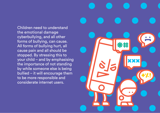Children need to understand the emotional damage cyberbullying, and all other forms of bullying, can cause. All forms of bullying hurt, all cause pain and all should be stopped. By stressing this to your child – and by emphasising the importance of not standing by while someone else is being bullied – it will encourage them to be more responsible and considerate internet users.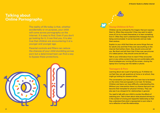# **Talking about Online Pornography.**

The reality of life today is that, whether accidentally or on purpose, your child will come across pornography on the internet. It is easy to find. Even if you don't go looking for it, it can find you. It is also true that children are encountering it at a younger and younger age.

Parental controls and filters can reduce the chances of your child stumbling across porn but a determined teen can find a way to bypass these protections.



#### **Young Children & Porn**

Children can be confused by the imagery that porn exposes them to. When they encounter it they may want to watch more of it to try to teach themselves or to learn something from it. Often they won't understand the messages that are being communicated. It can be traumatic and can make them anxious.

Explain to your child that there are some things that are for adults only and that if they ever see anything on the internet that bothers them, they should come and tell you. Be direct and tell them that if they ever see pictures of a naked person, they should come and tell you.

Talk to your child about how to react if they encounter porn or any online content they are not comfortable with. Good strategies are: turning off the screen, closing the laptop lid or turning over the tablet or phone.

#### **Teenagers & Porn**

Learning about sex is part of growing up. If children do not feel they can ask questions at home or at school, they might go looking for answers online.

The conversation you have with your teen has to be based on the notion that pornography is not real. It's fantasy. Children and teens can have difficulty understanding this. Without your intervention there is a chance that porn can become their template for physical intimacy. They can also see it as a blueprint for relationships in general.

You need to talk with your child to counter the effects of watching porn. Talk to them about what physical intimacy is in the context of a loving and respectful relationship so that they understand that what is represented on porn sites is not a reflection of real-life relationships.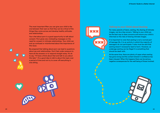The most important filter you can give your child is the one between their ears so that they can be critical of the things they come across and develop healthy attitudes and relationships.

Your chat about porn is a good opportunity to talk about consent. Porn gives very misleading messages on the need for consent in intimate relationships. Your child can end up confused or misinformed about the importance of this issue.

Be prepared that talking about porn can lead to questions about sex and relationships. Don't feel under pressure to have all the answers or to respond straight away. It's ok to say, "I'll have a think about that and talk to you about this later". It's a good idea to talk to about this topic over a period of time and not try to cover off everything in one sitting.



For many parents of teens, sexting, the sharing of intimate images, can be a big concern. Talking to your child can be the best way to ease concerns and ensure your child is informed on the risks of sharing intimate images.

It is important to note that sexting is not a normal part of teenage life. It is an activity in which the majority of teenagers do not participate. It also must be said that sexting doesn't necessarily lead to harm. However, as underage sexting can be illegal it is something that should be dealt with.

At the same time, there are plenty of cases where sexting has gone wrong and the content shared in confidence has been misused. When this happens there can be serious, negative consequences for the well-being of those involved.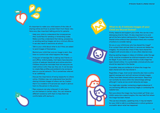

It's important to make your child aware of the risks of sharing online and how to protect them from these risks. Here are a few important talking points for parents:

- $\rightarrow$  Help your child to understand the consequences they could face for sending or forwarding nudes. Make sure they understand that taking, possessing or sending sexting images can be a criminal offence. It can also result in sanctions at school.
- $\rightarrow$  Talk to your child about what to do if they are asked to send images of themselves.
- $\rightarrow$  Remind your child that once an image is sent, they have no control over what happens the image.
- $\rightarrow$  A big part of teenage life is making new friends on and offline. Unfortunately, Irish teens have become victims of webcam blackmail and online extortion. Children should be reminded that not everyone we meet online is who they say they are. It can be easy to create fake profiles and pretend to be someone else on a social network. This is sometimes referred to as 'catfishing'.
- Discuss the importance of being respectful to others online. Children may not understand how harmful sharing intimate images of others can be. Explain that it is a violation of trust and can result in serious harm to the person in the picture.
- $\rightarrow$  Peer pressure can play a big part in why teens act and behave in certain ways. You can rehearse different scenarios with them to help them be comfortable with saying no.



## **What to do if Intimate Images of your Child are Shared Online?**

Firstly, reassure and support your child, this can be a very distressing time for them. It's also important to try and get all the facts before taking action. If images have been shared online without their permission there are a number of actions to consider taking:

Do you or your child know who has shared the image? If so contact them and ask them to remove and delete the image(s). You should also check if they have shared the image(s) with anyone else or on any other sites/services.

Sharing sexting images or videos of children under the age of 18, could be considered as child pornography and may be illegal. If your child is under 18 and a nude image has been shared online, it is a potentially criminal activity and should be reported to the Gardaí.

If possible, keep any evidence of where the image has been shared and who has shared it.

Regardless of age, most social networks also have a policy against revenge porn and will remove intimate images if they have been shared without permission. Reporting can normally be done within the network/app settings although it varies across social networks and apps.

You might also consider contacting a legal professional if you are having difficulty removing images or contacting the website host.

Not sure where the image may have ended up? Enter your child's name into a search engine, this may help find where the image has been shared.

This can be a stressful, upsetting time; it may be helpful for your child to talk to a professional or school guidance counsellor about what has happened.



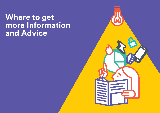# **Where to get more Information and Advice**

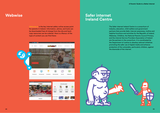# **Webwise**

Webwise.ie is the key internet safety online access point for parents in Ireland. Information, advice, and tools can be downloaded free-of-charge from the site and hardcopy resources can be ordered. Here is a flavour of the type of content you can find there:



# **Safer internet Ireland Centre**

The Safer internet Ireland Centre is a consortium of industry, education, child welfare and government partners that provide Safer internet awareness, hotline and helpline functions and activities for the Republic of Ireland. Webwise, Childline, the National Parents Council Primary, and the internet Service Providers Association of Ireland are the partners in the consortium. It is coordinated by the Department of Justice to develop national initiatives promoting the safer use of digital media and enhance protection of the vulnerable, particularly children, against the downside of the internet.

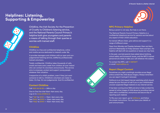# **Helplines: Listening, Supporting & Empowering**



Childline, the Irish Society for the Prevention of Cruelty to Children's listening service, and the National Parents Council Primary's helpline both give youngsters and parents a means of talking through their queries or worries with trained staff.

#### **Childline**

Childline is a free and confidential telephone, online and mobile service dedicated to Ireland's under 18s.

It provides teenagers and children with an open and nonjudgemental listening service, staffed by professionally trained volunteers.

Totally confidential, Childline takes thousands of calls, emails and texts every week from children all over Ireland who can contact its volunteers anonymously. The service aims to empower, protect and support young people whatever their situation.

Irrespective of a child's problem, even if they just want someone to talk to, Childline's volunteers are ready to listen. It's free. It's non-judgemental. And it's confidential.

### **Contact Childline**

#### Call 1800 66 66 66 — 24hrs a day

One to One live chat 10am–4am every day. Log on to www.childline.ie

Text 'Talk' to 50101 — 10am–4am every day Text 'Bully' to 50101 — 10am–4am every day Text 'Help' to 50101 — 10am–4am every day



#### **NPC Primary Helpline**

Being a parent is not easy. But help is out there.

The National Parents Council Primary Helpline is a confidential telephone service for parents worried about any aspect of their child's education.

Its trained officers listen, give advice and support in a range of different areas.

Open from Monday and Tuesday between 10am and 4pm, and from Wednesday to Friday between 10am and 5pm, the helpline will deal with any questions or issues you may have.

In the past, worried parents have asked about bullying, school safety and homework issues, and the NPC's trained personnel are ready to take your call whatever the subject.

To contact the NPC, call 01-8874477 or email helpline@npc.ie.



#### **Report Illegal Content**

Sometimes you might unwittingly stumble across illegal online content like child abuse imagery. Always remember: you can report it and get it removed.

Hotline.ie is an Irish-based internet watchdog which should always be your first port of call if you or your child/student uncover suspected illegal material on any internet service.

It has been running since 1999 and aims to help combat the spread of online images of child abuse by providing internet users with a confidential, anonymous and secure way of reporting such material.

To file your own report, go to hotline.je, and follow the simple instructions. You can leave your details or post anonymously.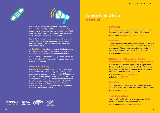



Run by the internet Service Providers Association of Ireland and overseen by the Office of internet Safety at the Department of Justice and Equality, the Hotline's staff will investigate and, where content deemed illegal under Irish law is found, they will have the page removed.

Even if the site is hosted outside Ireland, hotline.ie works closely with international counterparts who will continue the investigation in their jurisdictions to have the illegal content taken down.

While hotline.ie was set up to target child abuse imagery, you can also file complaints over other issues like instances of online racism and incitement to hatred.

If in any doubt, do not hesitate to report as it ultimately means the internet becomes a safer place for youngsters to learn and have fun.

#### **Awareness Raising**

Webwise is the Irish internet Safety Awareness Centre. It is part of the PDST Technology in Education, which promotes and supports the integration of ICT in teaching and learning in first and second level schools. The PDST Technology in Education is a section of the Professional Development Service for Teachers (PDST). The PDST is a support service of Teacher Education Section, Department of Education and Skills and is managed by Dublin West Education Centre.



# **Where to find help General**

#### **Barnardos**

Barnardos works with vulnerable children and their families in Ireland and campaigns for the rights of all children.

**Get in touch:** barnardos.ie — 1850 222300

#### **Childline**

Childline offers a phone service, a text support service (text 'Talk' to 50101) and an online chat service to help support young people. There is also a special text service for young people experiencing bullying (text 'Bully' to 50101).

**Get in touch:** childline.ie — 1800 666666

#### **National Parents Council Primary – Supporting Parents Supporting Children**

NPC Primary the national representative organisation for parents of children in primary school. NPC Primary provides a Helpline and Information Service and Parent's face to face and online training courses.

**Get in touch:** npc.ie — 01 887 4034 or helpline: 01-887 4477

#### **SpunOut**

SpunOut is a youth-focused website. It aims to promote general well-being and healthy living amongst young people.

**Get in touch:** spunout.ie

#### **Teen-Line Ireland**

Teen-Line Ireland is a free phone-support service for teenagers who need someone to talk to.

**Get in touch:** teenline.ie — 1800 833634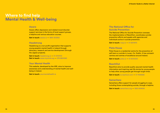# **Where to find help Mental Health & Well-being**

#### **Aware**

Aware offers depression and related mood-disorder support services in the forms of local support groups, a helpline and various education courses.

**Get in touch:** aware.ie — 1890 303302

#### **Headstrong**

Headstrong is a non-profit organisation that supports young people's mental health in Ireland through advocacy, research and service development (through the Jigsaw projects).

**Get in touch:** headstrong.ie — 01 4727010 **Get in touch:** www.mymind.org — 076 6801060

#### **Your Mental Health**

This website, developed by the HSE, aims to improve awareness and understanding of mental health and wellbeing in Ireland.

**Get in touch:** yourmentalhealth.ie

#### **The National Office for Suicide Prevention**

The National Office for Suicide Prevention oversees the implementation of *ReachOut*, coordinates suicideprevention efforts and speaks with agencies and individuals active in suicide prevention.

**Get in touch:** nosp.ie — 01 6201672

#### **Pieta House**

Pieta House is a residential centre for the prevention of self-harm or suicide in Lucan, Co. Dublin. It has outreach centres and centres of excellence around Ireland.

**Get in touch:** pieta.ie — 01 6010000

#### **ReachOut**

ReachOut aims to provide quality assured mental-health information and inspiring real-life stories by young people to help other young people get through tough times.

**Get in touch:** ie.reachout.com — 01 7645666

#### **Samaritans**

Samaritans offers support for people struggling to cope, including those contemplating suicide, through a helpline.

**Get in touch:** samaritans.org — 1850 609090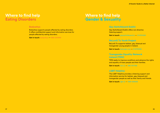# **Where to find help Eating Disorders**

#### **Bodywhys**

Bodywhys supports people affected by eating disorders. It offers confidential support and information services for people affected by eating disorders.

**Get in touch:** bodywhys — 1890 200444

# **Where to find help Gender & Sexuality**

## **Gay Switchboard Dublin**

Gay Switchboard Dublin offers non-directive listening support.

**Get in touch:** gayswitchboard.ie — 01 8721055

## **BeLonG To Youth Project**

BeLonG To supports lesbian, gay, bisexual and transgender young people in Ireland.

**Get in touch:** belongto.org — 01 8734184

### **Transgender Equality Network Ireland (TENI)**

TENI seeks to improve conditions and advance the rights and equality of trans people and their families.

**Get in touch:** teni.ie — 085 1477166

#### **LGBT Helpline**

The LGBT Helpline provides a listening support and information service for lesbian, gay, bisexual and transgender people as well as their family and friends.

**Get in touch:** lgbt.ie — 1890 929539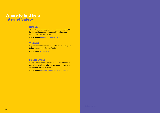# **Where to find help Internet Safety**

#### **Hotline.ie**

The hotline.ie service provides an anonymous facility for the public to report suspected illegal content encountered on the internet.

**Get in touch:** hotline.ie — 1890 610710

#### **Webwise**

Department of Education and Skills and the European **Union's Connecting Europe Facility.** 

**Get in touch:** webwise.ie

#### **Be Safe Online**

A single online access point has been established as part of the gov.ie portal which provides pathways to information on online safety.

**Get in touch:** gov.ie/en/campaigns/be-safe-online